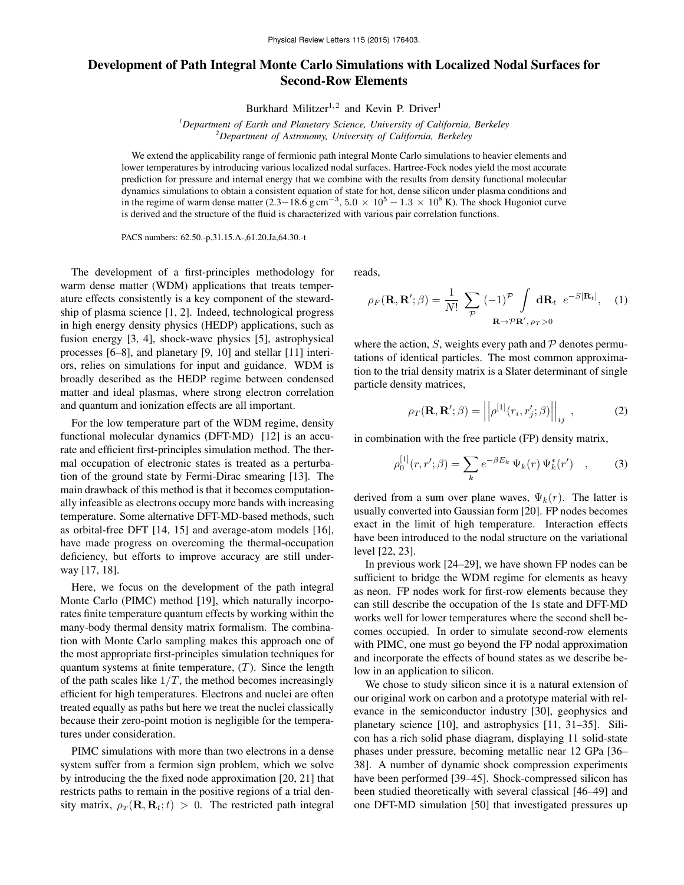## Development of Path Integral Monte Carlo Simulations with Localized Nodal Surfaces for Second-Row Elements

Burkhard Militzer<sup>1,2</sup> and Kevin P. Driver<sup>1</sup>

*<sup>1</sup>Department of Earth and Planetary Science, University of California, Berkeley <sup>2</sup>Department of Astronomy, University of California, Berkeley*

We extend the applicability range of fermionic path integral Monte Carlo simulations to heavier elements and lower temperatures by introducing various localized nodal surfaces. Hartree-Fock nodes yield the most accurate prediction for pressure and internal energy that we combine with the results from density functional molecular dynamics simulations to obtain a consistent equation of state for hot, dense silicon under plasma conditions and in the regime of warm dense matter  $(2.3-18.6 \text{ g cm}^{-3}, 5.0 \times 10^5 - 1.3 \times 10^8 \text{ K})$ . The shock Hugoniot curve is derived and the structure of the fluid is characterized with various pair correlation functions.

PACS numbers: 62.50.-p,31.15.A-,61.20.Ja,64.30.-t

The development of a first-principles methodology for warm dense matter (WDM) applications that treats temperature effects consistently is a key component of the stewardship of plasma science [1, 2]. Indeed, technological progress in high energy density physics (HEDP) applications, such as fusion energy [3, 4], shock-wave physics [5], astrophysical processes [6–8], and planetary [9, 10] and stellar [11] interiors, relies on simulations for input and guidance. WDM is broadly described as the HEDP regime between condensed matter and ideal plasmas, where strong electron correlation and quantum and ionization effects are all important.

For the low temperature part of the WDM regime, density functional molecular dynamics (DFT-MD) [12] is an accurate and efficient first-principles simulation method. The thermal occupation of electronic states is treated as a perturbation of the ground state by Fermi-Dirac smearing [13]. The main drawback of this method is that it becomes computationally infeasible as electrons occupy more bands with increasing temperature. Some alternative DFT-MD-based methods, such as orbital-free DFT [14, 15] and average-atom models [16], have made progress on overcoming the thermal-occupation deficiency, but efforts to improve accuracy are still underway [17, 18].

Here, we focus on the development of the path integral Monte Carlo (PIMC) method [19], which naturally incorporates finite temperature quantum effects by working within the many-body thermal density matrix formalism. The combination with Monte Carlo sampling makes this approach one of the most appropriate first-principles simulation techniques for quantum systems at finite temperature,  $(T)$ . Since the length of the path scales like  $1/T$ , the method becomes increasingly efficient for high temperatures. Electrons and nuclei are often treated equally as paths but here we treat the nuclei classically because their zero-point motion is negligible for the temperatures under consideration.

PIMC simulations with more than two electrons in a dense system suffer from a fermion sign problem, which we solve by introducing the the fixed node approximation [20, 21] that restricts paths to remain in the positive regions of a trial density matrix,  $\rho_T(\mathbf{R}, \mathbf{R}_t; t) > 0$ . The restricted path integral reads,

$$
\rho_F(\mathbf{R}, \mathbf{R}'; \beta) = \frac{1}{N!} \sum_{\mathcal{P}} (-1)^{\mathcal{P}} \int \mathbf{d} \mathbf{R}_t \ e^{-S[\mathbf{R}_t]}, \quad (1)
$$

where the action,  $S$ , weights every path and  $P$  denotes permutations of identical particles. The most common approximation to the trial density matrix is a Slater determinant of single particle density matrices,

$$
\rho_T(\mathbf{R}, \mathbf{R}'; \beta) = \left\| \rho^{[1]}(r_i, r_j'; \beta) \right\|_{ij}, \qquad (2)
$$

in combination with the free particle (FP) density matrix,

$$
\rho_0^{[1]}(r, r'; \beta) = \sum_k e^{-\beta E_k} \Psi_k(r) \Psi_k^*(r') \quad , \tag{3}
$$

derived from a sum over plane waves,  $\Psi_k(r)$ . The latter is usually converted into Gaussian form [20]. FP nodes becomes exact in the limit of high temperature. Interaction effects have been introduced to the nodal structure on the variational level [22, 23].

In previous work [24–29], we have shown FP nodes can be sufficient to bridge the WDM regime for elements as heavy as neon. FP nodes work for first-row elements because they can still describe the occupation of the 1s state and DFT-MD works well for lower temperatures where the second shell becomes occupied. In order to simulate second-row elements with PIMC, one must go beyond the FP nodal approximation and incorporate the effects of bound states as we describe below in an application to silicon.

We chose to study silicon since it is a natural extension of our original work on carbon and a prototype material with relevance in the semiconductor industry [30], geophysics and planetary science [10], and astrophysics [11, 31–35]. Silicon has a rich solid phase diagram, displaying 11 solid-state phases under pressure, becoming metallic near 12 GPa [36– 38]. A number of dynamic shock compression experiments have been performed [39–45]. Shock-compressed silicon has been studied theoretically with several classical [46–49] and one DFT-MD simulation [50] that investigated pressures up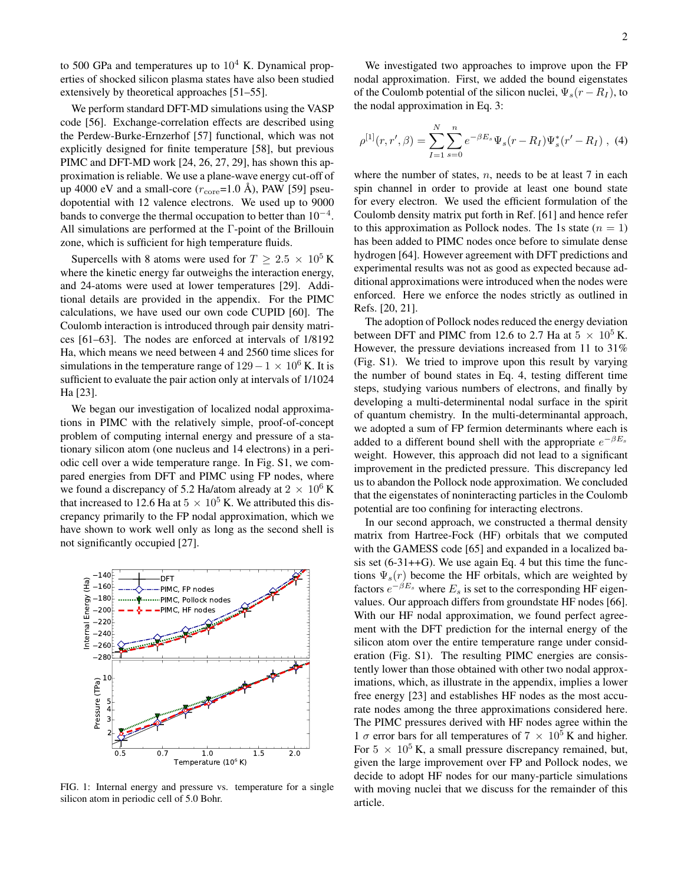to 500 GPa and temperatures up to  $10^4$  K. Dynamical properties of shocked silicon plasma states have also been studied extensively by theoretical approaches [51–55].

We perform standard DFT-MD simulations using the VASP code [56]. Exchange-correlation effects are described using the Perdew-Burke-Ernzerhof [57] functional, which was not explicitly designed for finite temperature [58], but previous PIMC and DFT-MD work [24, 26, 27, 29], has shown this approximation is reliable. We use a plane-wave energy cut-off of up 4000 eV and a small-core  $(r_{\text{core}}=1.0 \text{ Å})$ , PAW [59] pseudopotential with 12 valence electrons. We used up to 9000 bands to converge the thermal occupation to better than  $10^{-4}$ . All simulations are performed at the Γ-point of the Brillouin zone, which is sufficient for high temperature fluids.

Supercells with 8 atoms were used for  $T \geq 2.5 \times 10^5$  K where the kinetic energy far outweighs the interaction energy, and 24-atoms were used at lower temperatures [29]. Additional details are provided in the appendix. For the PIMC calculations, we have used our own code CUPID [60]. The Coulomb interaction is introduced through pair density matrices [61–63]. The nodes are enforced at intervals of 1/8192 Ha, which means we need between 4 and 2560 time slices for simulations in the temperature range of  $129-1 \times 10^6$  K. It is sufficient to evaluate the pair action only at intervals of 1/1024 Ha [23].

We began our investigation of localized nodal approximations in PIMC with the relatively simple, proof-of-concept problem of computing internal energy and pressure of a stationary silicon atom (one nucleus and 14 electrons) in a periodic cell over a wide temperature range. In Fig. S1, we compared energies from DFT and PIMC using FP nodes, where we found a discrepancy of 5.2 Ha/atom already at  $2 \times 10^6$  K that increased to 12.6 Ha at  $5 \times 10^5$  K. We attributed this discrepancy primarily to the FP nodal approximation, which we have shown to work well only as long as the second shell is not significantly occupied [27].



FIG. 1: Internal energy and pressure vs. temperature for a single silicon atom in periodic cell of 5.0 Bohr.

We investigated two approaches to improve upon the FP nodal approximation. First, we added the bound eigenstates of the Coulomb potential of the silicon nuclei,  $\Psi_s(r - R_I)$ , to the nodal approximation in Eq. 3:

$$
\rho^{[1]}(r,r',\beta) = \sum_{I=1}^{N} \sum_{s=0}^{n} e^{-\beta E_s} \Psi_s(r - R_I) \Psi_s^*(r' - R_I) , \tag{4}
$$

where the number of states,  $n$ , needs to be at least  $7$  in each spin channel in order to provide at least one bound state for every electron. We used the efficient formulation of the Coulomb density matrix put forth in Ref. [61] and hence refer to this approximation as Pollock nodes. The 1s state  $(n = 1)$ has been added to PIMC nodes once before to simulate dense hydrogen [64]. However agreement with DFT predictions and experimental results was not as good as expected because additional approximations were introduced when the nodes were enforced. Here we enforce the nodes strictly as outlined in Refs. [20, 21].

The adoption of Pollock nodes reduced the energy deviation between DFT and PIMC from 12.6 to 2.7 Ha at  $5 \times 10^5$  K. However, the pressure deviations increased from 11 to 31% (Fig. S1). We tried to improve upon this result by varying the number of bound states in Eq. 4, testing different time steps, studying various numbers of electrons, and finally by developing a multi-determinental nodal surface in the spirit of quantum chemistry. In the multi-determinantal approach, we adopted a sum of FP fermion determinants where each is added to a different bound shell with the appropriate  $e^{-\beta E_s}$ weight. However, this approach did not lead to a significant improvement in the predicted pressure. This discrepancy led us to abandon the Pollock node approximation. We concluded that the eigenstates of noninteracting particles in the Coulomb potential are too confining for interacting electrons.

In our second approach, we constructed a thermal density matrix from Hartree-Fock (HF) orbitals that we computed with the GAMESS code [65] and expanded in a localized basis set  $(6-31++G)$ . We use again Eq. 4 but this time the functions  $\Psi_s(r)$  become the HF orbitals, which are weighted by factors  $e^{-\beta E_s}$  where  $E_s$  is set to the corresponding HF eigenvalues. Our approach differs from groundstate HF nodes [66]. With our HF nodal approximation, we found perfect agreement with the DFT prediction for the internal energy of the silicon atom over the entire temperature range under consideration (Fig. S1). The resulting PIMC energies are consistently lower than those obtained with other two nodal approximations, which, as illustrate in the appendix, implies a lower free energy [23] and establishes HF nodes as the most accurate nodes among the three approximations considered here. The PIMC pressures derived with HF nodes agree within the 1  $\sigma$  error bars for all temperatures of 7  $\times$  10<sup>5</sup> K and higher. For  $5 \times 10^5$  K, a small pressure discrepancy remained, but, given the large improvement over FP and Pollock nodes, we decide to adopt HF nodes for our many-particle simulations with moving nuclei that we discuss for the remainder of this article.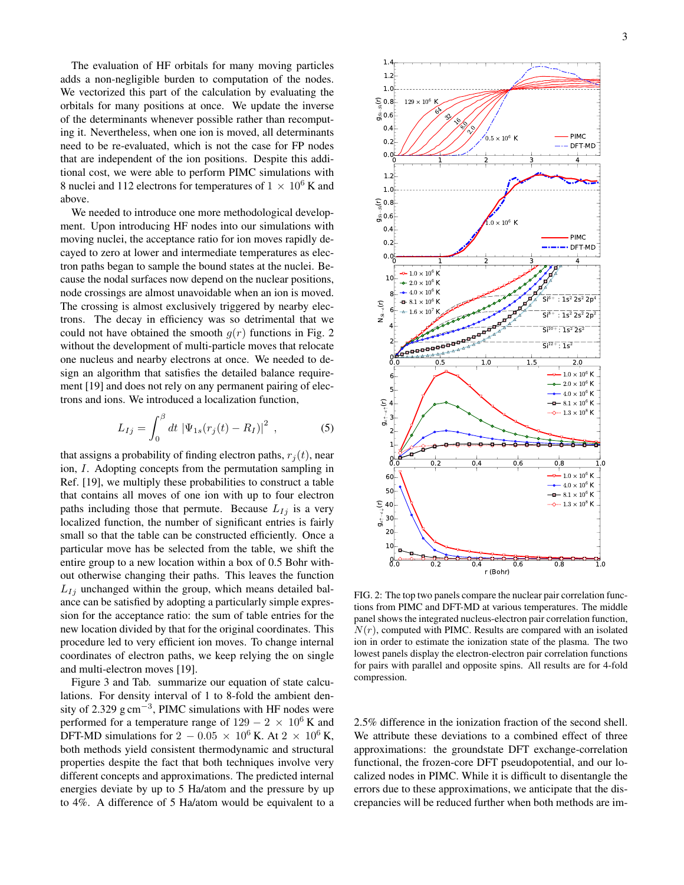The evaluation of HF orbitals for many moving particles adds a non-negligible burden to computation of the nodes. We vectorized this part of the calculation by evaluating the orbitals for many positions at once. We update the inverse of the determinants whenever possible rather than recomputing it. Nevertheless, when one ion is moved, all determinants need to be re-evaluated, which is not the case for FP nodes that are independent of the ion positions. Despite this additional cost, we were able to perform PIMC simulations with 8 nuclei and 112 electrons for temperatures of  $1 \times 10^6$  K and above.

We needed to introduce one more methodological development. Upon introducing HF nodes into our simulations with moving nuclei, the acceptance ratio for ion moves rapidly decayed to zero at lower and intermediate temperatures as electron paths began to sample the bound states at the nuclei. Because the nodal surfaces now depend on the nuclear positions, node crossings are almost unavoidable when an ion is moved. The crossing is almost exclusively triggered by nearby electrons. The decay in efficiency was so detrimental that we could not have obtained the smooth  $g(r)$  functions in Fig. 2 without the development of multi-particle moves that relocate one nucleus and nearby electrons at once. We needed to design an algorithm that satisfies the detailed balance requirement [19] and does not rely on any permanent pairing of electrons and ions. We introduced a localization function,

$$
L_{Ij} = \int_0^\beta dt \, |\Psi_{1s}(r_j(t) - R_I)|^2 \,, \tag{5}
$$

that assigns a probability of finding electron paths,  $r_j(t)$ , near ion, I. Adopting concepts from the permutation sampling in Ref. [19], we multiply these probabilities to construct a table that contains all moves of one ion with up to four electron paths including those that permute. Because  $L_{Ij}$  is a very localized function, the number of significant entries is fairly small so that the table can be constructed efficiently. Once a particular move has be selected from the table, we shift the entire group to a new location within a box of 0.5 Bohr without otherwise changing their paths. This leaves the function  $L_{Ij}$  unchanged within the group, which means detailed balance can be satisfied by adopting a particularly simple expression for the acceptance ratio: the sum of table entries for the new location divided by that for the original coordinates. This procedure led to very efficient ion moves. To change internal coordinates of electron paths, we keep relying the on single and multi-electron moves [19].

Figure 3 and Tab. summarize our equation of state calculations. For density interval of 1 to 8-fold the ambient density of 2.329  $g \text{ cm}^{-3}$ , PIMC simulations with HF nodes were performed for a temperature range of  $129 - 2 \times 10^6$  K and DFT-MD simulations for 2 – 0.05  $\times$  10<sup>6</sup> K. At 2  $\times$  10<sup>6</sup> K, both methods yield consistent thermodynamic and structural properties despite the fact that both techniques involve very different concepts and approximations. The predicted internal energies deviate by up to 5 Ha/atom and the pressure by up to 4%. A difference of 5 Ha/atom would be equivalent to a



FIG. 2: The top two panels compare the nuclear pair correlation functions from PIMC and DFT-MD at various temperatures. The middle panel shows the integrated nucleus-electron pair correlation function,  $N(r)$ , computed with PIMC. Results are compared with an isolated ion in order to estimate the ionization state of the plasma. The two lowest panels display the electron-electron pair correlation functions for pairs with parallel and opposite spins. All results are for 4-fold compression.

2.5% difference in the ionization fraction of the second shell. We attribute these deviations to a combined effect of three approximations: the groundstate DFT exchange-correlation functional, the frozen-core DFT pseudopotential, and our localized nodes in PIMC. While it is difficult to disentangle the errors due to these approximations, we anticipate that the discrepancies will be reduced further when both methods are im-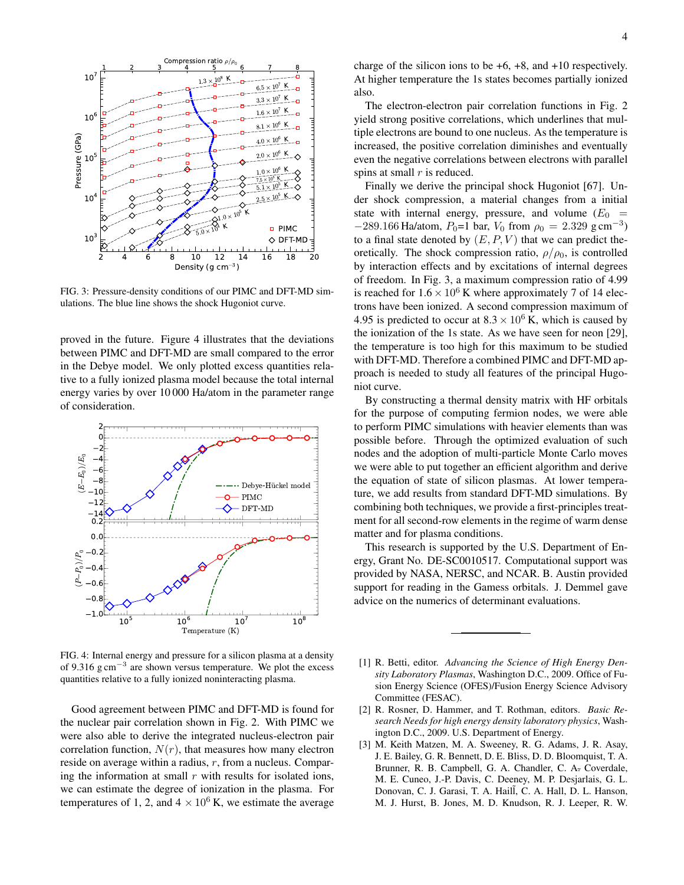

FIG. 3: Pressure-density conditions of our PIMC and DFT-MD simulations. The blue line shows the shock Hugoniot curve.

proved in the future. Figure 4 illustrates that the deviations between PIMC and DFT-MD are small compared to the error in the Debye model. We only plotted excess quantities relative to a fully ionized plasma model because the total internal energy varies by over 10 000 Ha/atom in the parameter range of consideration.



FIG. 4: Internal energy and pressure for a silicon plasma at a density of 9.316 g cm<sup>−</sup><sup>3</sup> are shown versus temperature. We plot the excess quantities relative to a fully ionized noninteracting plasma.

Good agreement between PIMC and DFT-MD is found for the nuclear pair correlation shown in Fig. 2. With PIMC we were also able to derive the integrated nucleus-electron pair correlation function,  $N(r)$ , that measures how many electron reside on average within a radius,  $r$ , from a nucleus. Comparing the information at small  $r$  with results for isolated ions, we can estimate the degree of ionization in the plasma. For temperatures of 1, 2, and  $4 \times 10^6$  K, we estimate the average

The electron-electron pair correlation functions in Fig. 2 yield strong positive correlations, which underlines that multiple electrons are bound to one nucleus. As the temperature is increased, the positive correlation diminishes and eventually even the negative correlations between electrons with parallel spins at small  $r$  is reduced.

Finally we derive the principal shock Hugoniot [67]. Under shock compression, a material changes from a initial state with internal energy, pressure, and volume  $(E_0 =$  $-289.166$  Ha/atom,  $P_0=1$  bar,  $V_0$  from  $\rho_0 = 2.329$  g cm<sup>-3</sup>) to a final state denoted by  $(E, P, V)$  that we can predict theoretically. The shock compression ratio,  $\rho/\rho_0$ , is controlled by interaction effects and by excitations of internal degrees of freedom. In Fig. 3, a maximum compression ratio of 4.99 is reached for  $1.6 \times 10^6$  K where approximately 7 of 14 electrons have been ionized. A second compression maximum of 4.95 is predicted to occur at  $8.3 \times 10^6$  K, which is caused by the ionization of the 1s state. As we have seen for neon [29], the temperature is too high for this maximum to be studied with DFT-MD. Therefore a combined PIMC and DFT-MD approach is needed to study all features of the principal Hugoniot curve.

By constructing a thermal density matrix with HF orbitals for the purpose of computing fermion nodes, we were able to perform PIMC simulations with heavier elements than was possible before. Through the optimized evaluation of such nodes and the adoption of multi-particle Monte Carlo moves we were able to put together an efficient algorithm and derive the equation of state of silicon plasmas. At lower temperature, we add results from standard DFT-MD simulations. By combining both techniques, we provide a first-principles treatment for all second-row elements in the regime of warm dense matter and for plasma conditions.

This research is supported by the U.S. Department of Energy, Grant No. DE-SC0010517. Computational support was provided by NASA, NERSC, and NCAR. B. Austin provided support for reading in the Gamess orbitals. J. Demmel gave advice on the numerics of determinant evaluations.

- [1] R. Betti, editor. *Advancing the Science of High Energy Density Laboratory Plasmas*, Washington D.C., 2009. Office of Fusion Energy Science (OFES)/Fusion Energy Science Advisory Committee (FESAC).
- [2] R. Rosner, D. Hammer, and T. Rothman, editors. *Basic Research Needs for high energy density laboratory physics*, Washington D.C., 2009. U.S. Department of Energy.
- [3] M. Keith Matzen, M. A. Sweeney, R. G. Adams, J. R. Asay, J. E. Bailey, G. R. Bennett, D. E. Bliss, D. D. Bloomquist, T. A. Brunner, R. B. Campbell, G. A. Chandler, C. A. Coverdale, M. E. Cuneo, J.-P. Davis, C. Deeney, M. P. Desjarlais, G. L. Donovan, C. J. Garasi, T. A. Haill, C. A. Hall, D. L. Hanson, M. J. Hurst, B. Jones, M. D. Knudson, R. J. Leeper, R. W.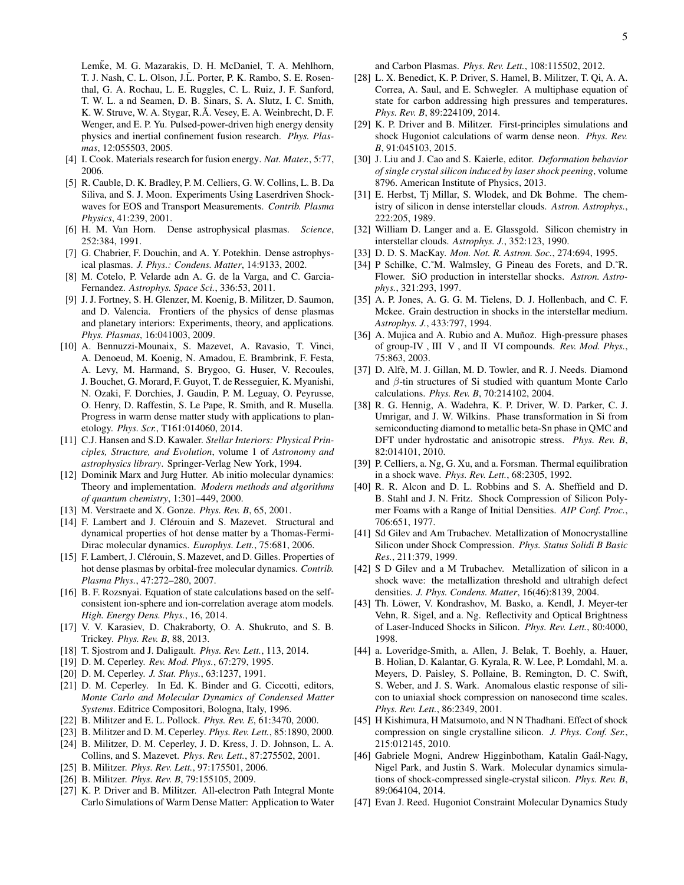Lemke, M. G. Mazarakis, D. H. McDaniel, T. A. Mehlhorn, T. J. Nash, C. L. Olson, J.L. Porter, P. K. Rambo, S. E. Rosenthal, G. A. Rochau, L. E. Ruggles, C. L. Ruiz, J. F. Sanford, T. W. L. a nd Seamen, D. B. Sinars, S. A. Slutz, I. C. Smith, K. W. Struve, W. A. Stygar, R.A. Vesey, E. A. Weinbrecht, D. F. Wenger, and E. P. Yu. Pulsed-power-driven high energy density physics and inertial confinement fusion research. *Phys. Plasmas*, 12:055503, 2005.

- [4] I. Cook. Materials research for fusion energy. *Nat. Mater.*, 5:77, 2006.
- [5] R. Cauble, D. K. Bradley, P. M. Celliers, G. W. Collins, L. B. Da Siliva, and S. J. Moon. Experiments Using Laserdriven Shockwaves for EOS and Transport Measurements. *Contrib. Plasma Physics*, 41:239, 2001.
- [6] H. M. Van Horn. Dense astrophysical plasmas. *Science*, 252:384, 1991.
- [7] G. Chabrier, F. Douchin, and A. Y. Potekhin. Dense astrophysical plasmas. *J. Phys.: Condens. Matter*, 14:9133, 2002.
- [8] M. Cotelo, P. Velarde adn A. G. de la Varga, and C. Garcia-Fernandez. *Astrophys. Space Sci.*, 336:53, 2011.
- [9] J. J. Fortney, S. H. Glenzer, M. Koenig, B. Militzer, D. Saumon, and D. Valencia. Frontiers of the physics of dense plasmas and planetary interiors: Experiments, theory, and applications. *Phys. Plasmas*, 16:041003, 2009.
- [10] A. Bennuzzi-Mounaix, S. Mazevet, A. Ravasio, T. Vinci, A. Denoeud, M. Koenig, N. Amadou, E. Brambrink, F. Festa, A. Levy, M. Harmand, S. Brygoo, G. Huser, V. Recoules, J. Bouchet, G. Morard, F. Guyot, T. de Resseguier, K. Myanishi, N. Ozaki, F. Dorchies, J. Gaudin, P. M. Leguay, O. Peyrusse, O. Henry, D. Raffestin, S. Le Pape, R. Smith, and R. Musella. Progress in warm dense matter study with applications to planetology. *Phys. Scr.*, T161:014060, 2014.
- [11] C.J. Hansen and S.D. Kawaler. *Stellar Interiors: Physical Principles, Structure, and Evolution*, volume 1 of *Astronomy and astrophysics library*. Springer-Verlag New York, 1994.
- [12] Dominik Marx and Jurg Hutter. Ab initio molecular dynamics: Theory and implementation. *Modern methods and algorithms of quantum chemistry*, 1:301–449, 2000.
- [13] M. Verstraete and X. Gonze. *Phys. Rev. B*, 65, 2001.
- [14] F. Lambert and J. Clérouin and S. Mazevet. Structural and dynamical properties of hot dense matter by a Thomas-Fermi-Dirac molecular dynamics. *Europhys. Lett.*, 75:681, 2006.
- [15] F. Lambert, J. Clérouin, S. Mazevet, and D. Gilles. Properties of hot dense plasmas by orbital-free molecular dynamics. *Contrib. Plasma Phys.*, 47:272–280, 2007.
- [16] B. F. Rozsnyai. Equation of state calculations based on the selfconsistent ion-sphere and ion-correlation average atom models. *High. Energy Dens. Phys.*, 16, 2014.
- [17] V. V. Karasiev, D. Chakraborty, O. A. Shukruto, and S. B. Trickey. *Phys. Rev. B*, 88, 2013.
- [18] T. Sjostrom and J. Daligault. *Phys. Rev. Lett.*, 113, 2014.
- [19] D. M. Ceperley. *Rev. Mod. Phys.*, 67:279, 1995.
- [20] D. M. Ceperley. *J. Stat. Phys.*, 63:1237, 1991.
- [21] D. M. Ceperley. In Ed. K. Binder and G. Ciccotti, editors, *Monte Carlo and Molecular Dynamics of Condensed Matter Systems*. Editrice Compositori, Bologna, Italy, 1996.
- [22] B. Militzer and E. L. Pollock. *Phys. Rev. E*, 61:3470, 2000.
- [23] B. Militzer and D. M. Ceperley. *Phys. Rev. Lett.*, 85:1890, 2000.
- [24] B. Militzer, D. M. Ceperley, J. D. Kress, J. D. Johnson, L. A. Collins, and S. Mazevet. *Phys. Rev. Lett.*, 87:275502, 2001.
- [25] B. Militzer. *Phys. Rev. Lett.*, 97:175501, 2006.
- [26] B. Militzer. *Phys. Rev. B*, 79:155105, 2009.
- [27] K. P. Driver and B. Militzer. All-electron Path Integral Monte Carlo Simulations of Warm Dense Matter: Application to Water

and Carbon Plasmas. *Phys. Rev. Lett.*, 108:115502, 2012.

- [28] L. X. Benedict, K. P. Driver, S. Hamel, B. Militzer, T. Qi, A. A. Correa, A. Saul, and E. Schwegler. A multiphase equation of state for carbon addressing high pressures and temperatures. *Phys. Rev. B*, 89:224109, 2014.
- [29] K. P. Driver and B. Militzer. First-principles simulations and shock Hugoniot calculations of warm dense neon. *Phys. Rev. B*, 91:045103, 2015.
- [30] J. Liu and J. Cao and S. Kaierle, editor. *Deformation behavior of single crystal silicon induced by laser shock peening*, volume 8796. American Institute of Physics, 2013.
- [31] E. Herbst, Tj Millar, S. Wlodek, and Dk Bohme. The chemistry of silicon in dense interstellar clouds. *Astron. Astrophys.*, 222:205, 1989.
- [32] William D. Langer and a. E. Glassgold. Silicon chemistry in interstellar clouds. *Astrophys. J.*, 352:123, 1990.
- [33] D. D. S. MacKay. *Mon. Not. R. Astron. Soc.*, 274:694, 1995.
- [34] P Schilke, C.~M. Walmsley, G Pineau des Forets, and D.~R. Flower. SiO production in interstellar shocks. *Astron. Astrophys.*, 321:293, 1997.
- [35] A. P. Jones, A. G. G. M. Tielens, D. J. Hollenbach, and C. F. Mckee. Grain destruction in shocks in the interstellar medium. *Astrophys. J.*, 433:797, 1994.
- [36] A. Mujica and A. Rubio and A. Muñoz. High-pressure phases of group-IV , III V , and II VI compounds. *Rev. Mod. Phys.*, 75:863, 2003.
- [37] D. Alfè, M. J. Gillan, M. D. Towler, and R. J. Needs. Diamond and β-tin structures of Si studied with quantum Monte Carlo calculations. *Phys. Rev. B*, 70:214102, 2004.
- [38] R. G. Hennig, A. Wadehra, K. P. Driver, W. D. Parker, C. J. Umrigar, and J. W. Wilkins. Phase transformation in Si from semiconducting diamond to metallic beta-Sn phase in QMC and DFT under hydrostatic and anisotropic stress. *Phys. Rev. B*, 82:014101, 2010.
- [39] P. Celliers, a. Ng, G. Xu, and a. Forsman. Thermal equilibration in a shock wave. *Phys. Rev. Lett.*, 68:2305, 1992.
- [40] R. R. Alcon and D. L. Robbins and S. A. Sheffield and D. B. Stahl and J. N. Fritz. Shock Compression of Silicon Polymer Foams with a Range of Initial Densities. *AIP Conf. Proc.*, 706:651, 1977.
- [41] Sd Gilev and Am Trubachev. Metallization of Monocrystalline Silicon under Shock Compression. *Phys. Status Solidi B Basic Res.*, 211:379, 1999.
- [42] S D Gilev and a M Trubachev. Metallization of silicon in a shock wave: the metallization threshold and ultrahigh defect densities. *J. Phys. Condens. Matter*, 16(46):8139, 2004.
- [43] Th. Löwer, V. Kondrashov, M. Basko, a. Kendl, J. Meyer-ter Vehn, R. Sigel, and a. Ng. Reflectivity and Optical Brightness of Laser-Induced Shocks in Silicon. *Phys. Rev. Lett.*, 80:4000, 1998.
- [44] a. Loveridge-Smith, a. Allen, J. Belak, T. Boehly, a. Hauer, B. Holian, D. Kalantar, G. Kyrala, R. W. Lee, P. Lomdahl, M. a. Meyers, D. Paisley, S. Pollaine, B. Remington, D. C. Swift, S. Weber, and J. S. Wark. Anomalous elastic response of silicon to uniaxial shock compression on nanosecond time scales. *Phys. Rev. Lett.*, 86:2349, 2001.
- [45] H Kishimura, H Matsumoto, and N N Thadhani. Effect of shock compression on single crystalline silicon. *J. Phys. Conf. Ser.*, 215:012145, 2010.
- [46] Gabriele Mogni, Andrew Higginbotham, Katalin Gaál-Nagy, Nigel Park, and Justin S. Wark. Molecular dynamics simulations of shock-compressed single-crystal silicon. *Phys. Rev. B*, 89:064104, 2014.
- [47] Evan J. Reed. Hugoniot Constraint Molecular Dynamics Study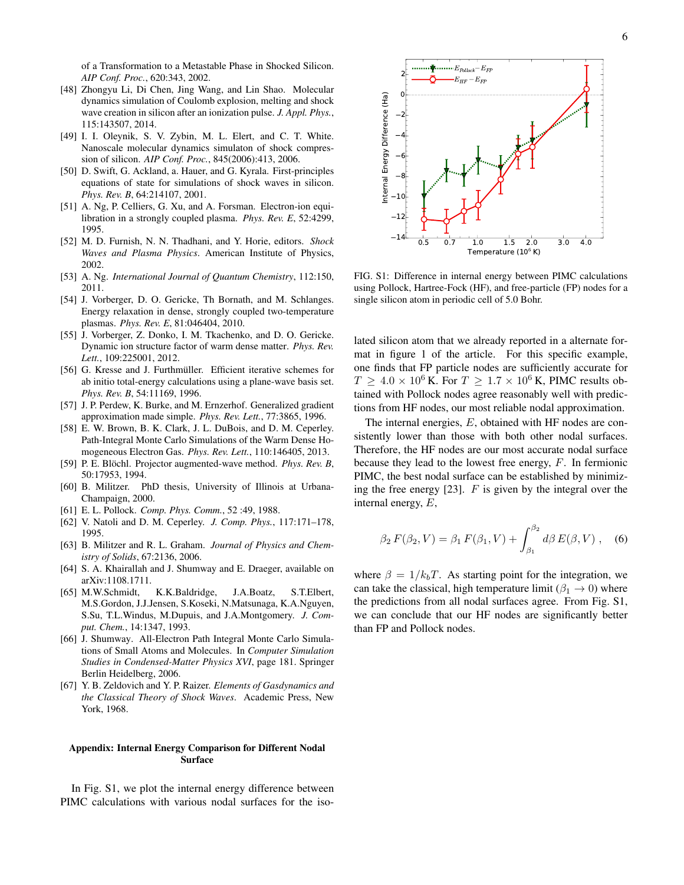of a Transformation to a Metastable Phase in Shocked Silicon. *AIP Conf. Proc.*, 620:343, 2002.

- [48] Zhongyu Li, Di Chen, Jing Wang, and Lin Shao. Molecular dynamics simulation of Coulomb explosion, melting and shock wave creation in silicon after an ionization pulse. *J. Appl. Phys.*, 115:143507, 2014.
- [49] I. I. Oleynik, S. V. Zybin, M. L. Elert, and C. T. White. Nanoscale molecular dynamics simulaton of shock compression of silicon. *AIP Conf. Proc.*, 845(2006):413, 2006.
- [50] D. Swift, G. Ackland, a. Hauer, and G. Kyrala. First-principles equations of state for simulations of shock waves in silicon. *Phys. Rev. B*, 64:214107, 2001.
- [51] A. Ng, P. Celliers, G. Xu, and A. Forsman. Electron-ion equilibration in a strongly coupled plasma. *Phys. Rev. E*, 52:4299, 1995.
- [52] M. D. Furnish, N. N. Thadhani, and Y. Horie, editors. *Shock Waves and Plasma Physics*. American Institute of Physics, 2002.
- [53] A. Ng. *International Journal of Quantum Chemistry*, 112:150, 2011.
- [54] J. Vorberger, D. O. Gericke, Th Bornath, and M. Schlanges. Energy relaxation in dense, strongly coupled two-temperature plasmas. *Phys. Rev. E*, 81:046404, 2010.
- [55] J. Vorberger, Z. Donko, I. M. Tkachenko, and D. O. Gericke. Dynamic ion structure factor of warm dense matter. *Phys. Rev. Lett.*, 109:225001, 2012.
- [56] G. Kresse and J. Furthmüller. Efficient iterative schemes for ab initio total-energy calculations using a plane-wave basis set. *Phys. Rev. B*, 54:11169, 1996.
- [57] J. P. Perdew, K. Burke, and M. Ernzerhof. Generalized gradient approximation made simple. *Phys. Rev. Lett.*, 77:3865, 1996.
- [58] E. W. Brown, B. K. Clark, J. L. DuBois, and D. M. Ceperley. Path-Integral Monte Carlo Simulations of the Warm Dense Homogeneous Electron Gas. *Phys. Rev. Lett.*, 110:146405, 2013.
- [59] P. E. Blöchl. Projector augmented-wave method. *Phys. Rev. B*, 50:17953, 1994.
- [60] B. Militzer. PhD thesis, University of Illinois at Urbana-Champaign, 2000.
- [61] E. L. Pollock. *Comp. Phys. Comm.*, 52 :49, 1988.
- [62] V. Natoli and D. M. Ceperley. *J. Comp. Phys.*, 117:171–178, 1995.
- [63] B. Militzer and R. L. Graham. *Journal of Physics and Chemistry of Solids*, 67:2136, 2006.
- [64] S. A. Khairallah and J. Shumway and E. Draeger, available on arXiv:1108.1711.
- [65] M.W.Schmidt, K.K.Baldridge, J.A.Boatz, S.T.Elbert, M.S.Gordon, J.J.Jensen, S.Koseki, N.Matsunaga, K.A.Nguyen, S.Su, T.L.Windus, M.Dupuis, and J.A.Montgomery. *J. Comput. Chem.*, 14:1347, 1993.
- [66] J. Shumway. All-Electron Path Integral Monte Carlo Simulations of Small Atoms and Molecules. In *Computer Simulation Studies in Condensed-Matter Physics XVI*, page 181. Springer Berlin Heidelberg, 2006.
- [67] Y. B. Zeldovich and Y. P. Raizer. *Elements of Gasdynamics and the Classical Theory of Shock Waves*. Academic Press, New York, 1968.

## Appendix: Internal Energy Comparison for Different Nodal Surface

In Fig. S1, we plot the internal energy difference between PIMC calculations with various nodal surfaces for the iso-



FIG. S1: Difference in internal energy between PIMC calculations using Pollock, Hartree-Fock (HF), and free-particle (FP) nodes for a single silicon atom in periodic cell of 5.0 Bohr.

lated silicon atom that we already reported in a alternate format in figure 1 of the article. For this specific example, one finds that FP particle nodes are sufficiently accurate for  $T \geq 4.0 \times 10^6$  K. For  $T \geq 1.7 \times 10^6$  K, PIMC results obtained with Pollock nodes agree reasonably well with predictions from HF nodes, our most reliable nodal approximation.

The internal energies, E, obtained with HF nodes are consistently lower than those with both other nodal surfaces. Therefore, the HF nodes are our most accurate nodal surface because they lead to the lowest free energy, F. In fermionic PIMC, the best nodal surface can be established by minimizing the free energy  $[23]$ . F is given by the integral over the internal energy, E,

$$
\beta_2 F(\beta_2, V) = \beta_1 F(\beta_1, V) + \int_{\beta_1}^{\beta_2} d\beta E(\beta, V) , \quad (6)
$$

where  $\beta = 1/k_bT$ . As starting point for the integration, we can take the classical, high temperature limit ( $\beta_1 \rightarrow 0$ ) where the predictions from all nodal surfaces agree. From Fig. S1, we can conclude that our HF nodes are significantly better than FP and Pollock nodes.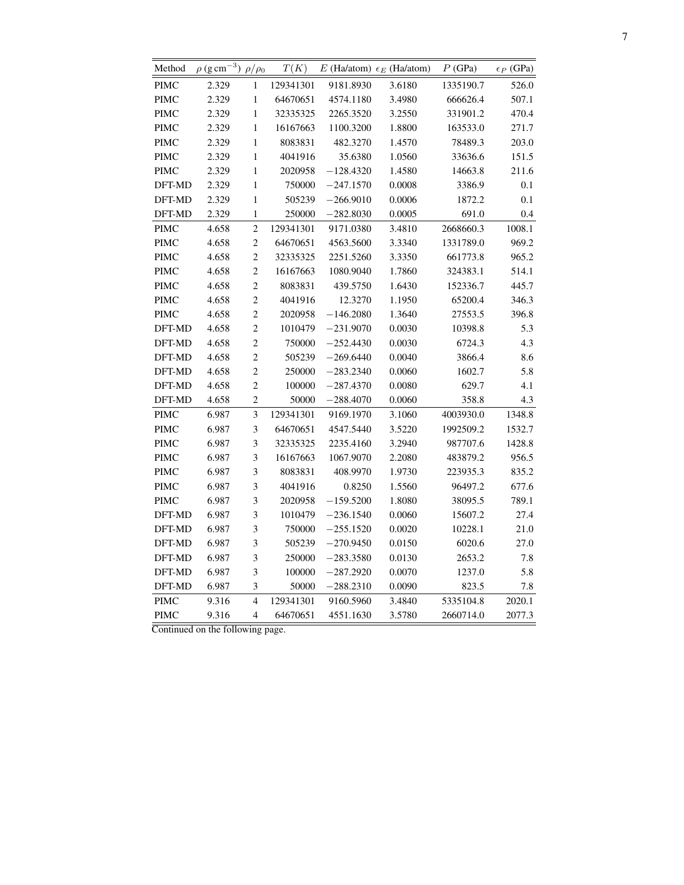| Method      | $\rho$ (g cm <sup>-3</sup> ) $\rho/\rho_0$ |                | T(K)      |             | E (Ha/atom) $\epsilon_E$ (Ha/atom) | P(GPa)    | $\epsilon_P$ (GPa) |
|-------------|--------------------------------------------|----------------|-----------|-------------|------------------------------------|-----------|--------------------|
| <b>PIMC</b> | 2.329                                      | 1              | 129341301 | 9181.8930   | 3.6180                             | 1335190.7 | 526.0              |
| PIMC        | 2.329                                      | $\mathbf{1}$   | 64670651  | 4574.1180   | 3.4980                             | 666626.4  | 507.1              |
| PIMC        | 2.329                                      | $\mathbf{1}$   | 32335325  | 2265.3520   | 3.2550                             | 331901.2  | 470.4              |
| <b>PIMC</b> | 2.329                                      | 1              | 16167663  | 1100.3200   | 1.8800                             | 163533.0  | 271.7              |
| <b>PIMC</b> | 2.329                                      | $\mathbf{1}$   | 8083831   | 482.3270    | 1.4570                             | 78489.3   | 203.0              |
| <b>PIMC</b> | 2.329                                      | $\mathbf{1}$   | 4041916   | 35.6380     | 1.0560                             | 33636.6   | 151.5              |
| <b>PIMC</b> | 2.329                                      | $\,1$          | 2020958   | $-128.4320$ | 1.4580                             | 14663.8   | 211.6              |
| DFT-MD      | 2.329                                      | 1              | 750000    | $-247.1570$ | 0.0008                             | 3386.9    | 0.1                |
| DFT-MD      | 2.329                                      | $\mathbf{1}$   | 505239    | $-266.9010$ | 0.0006                             | 1872.2    | 0.1                |
| DFT-MD      | 2.329                                      | 1              | 250000    | $-282.8030$ | 0.0005                             | 691.0     | 0.4                |
| <b>PIMC</b> | 4.658                                      | $\overline{c}$ | 129341301 | 9171.0380   | 3.4810                             | 2668660.3 | 1008.1             |
| <b>PIMC</b> | 4.658                                      | $\overline{c}$ | 64670651  | 4563.5600   | 3.3340                             | 1331789.0 | 969.2              |
| <b>PIMC</b> | 4.658                                      | $\overline{c}$ | 32335325  | 2251.5260   | 3.3350                             | 661773.8  | 965.2              |
| <b>PIMC</b> | 4.658                                      | $\overline{c}$ | 16167663  | 1080.9040   | 1.7860                             | 324383.1  | 514.1              |
| <b>PIMC</b> | 4.658                                      | $\overline{c}$ | 8083831   | 439.5750    | 1.6430                             | 152336.7  | 445.7              |
| <b>PIMC</b> | 4.658                                      | $\overline{c}$ | 4041916   | 12.3270     | 1.1950                             | 65200.4   | 346.3              |
| <b>PIMC</b> | 4.658                                      | $\overline{c}$ | 2020958   | $-146.2080$ | 1.3640                             | 27553.5   | 396.8              |
| DFT-MD      | 4.658                                      | $\overline{c}$ | 1010479   | $-231.9070$ | 0.0030                             | 10398.8   | 5.3                |
| DFT-MD      | 4.658                                      | $\overline{c}$ | 750000    | $-252.4430$ | 0.0030                             | 6724.3    | 4.3                |
| DFT-MD      | 4.658                                      | $\overline{c}$ | 505239    | $-269.6440$ | 0.0040                             | 3866.4    | 8.6                |
| DFT-MD      | 4.658                                      | $\overline{c}$ | 250000    | $-283.2340$ | 0.0060                             | 1602.7    | 5.8                |
| DFT-MD      | 4.658                                      | $\overline{c}$ | 100000    | –287.4370   | 0.0080                             | 629.7     | 4.1                |
| DFT-MD      | 4.658                                      | $\overline{c}$ | 50000     | $-288.4070$ | 0.0060                             | 358.8     | 4.3                |
| <b>PIMC</b> | 6.987                                      | 3              | 129341301 | 9169.1970   | 3.1060                             | 4003930.0 | 1348.8             |
| <b>PIMC</b> | 6.987                                      | 3              | 64670651  | 4547.5440   | 3.5220                             | 1992509.2 | 1532.7             |
| <b>PIMC</b> | 6.987                                      | 3              | 32335325  | 2235.4160   | 3.2940                             | 987707.6  | 1428.8             |
| <b>PIMC</b> | 6.987                                      | 3              | 16167663  | 1067.9070   | 2.2080                             | 483879.2  | 956.5              |
| <b>PIMC</b> | 6.987                                      | 3              | 8083831   | 408.9970    | 1.9730                             | 223935.3  | 835.2              |
| <b>PIMC</b> | 6.987                                      | 3              | 4041916   | 0.8250      | 1.5560                             | 96497.2   | 677.6              |
| <b>PIMC</b> | 6.987                                      | 3              | 2020958   | $-159.5200$ | 1.8080                             | 38095.5   | 789.1              |
| DFT-MD      | 6.987                                      | 3              | 1010479   | $-236.1540$ | 0.0060                             | 15607.2   | 27.4               |
| DFT-MD      | 6.987                                      | 3              | 750000    | $-255.1520$ | 0.0020                             | 10228.1   | 21.0               |
| DFT-MD      | 6.987                                      | 3              | 505239    | $-270.9450$ | 0.0150                             | 6020.6    | 27.0               |
| DFT-MD      | 6.987                                      | 3              | 250000    | $-283.3580$ | 0.0130                             | 2653.2    | 7.8                |
| DFT-MD      | 6.987                                      | 3              | 100000    | $-287.2920$ | 0.0070                             | 1237.0    | 5.8                |
| DFT-MD      | 6.987                                      | 3              | 50000     | $-288.2310$ | 0.0090                             | 823.5     | 7.8                |
| <b>PIMC</b> | 9.316                                      | $\overline{4}$ | 129341301 | 9160.5960   | 3.4840                             | 5335104.8 | 2020.1             |
| <b>PIMC</b> | 9.316                                      | $\overline{4}$ | 64670651  | 4551.1630   | 3.5780                             | 2660714.0 | 2077.3             |

Continued on the following page.